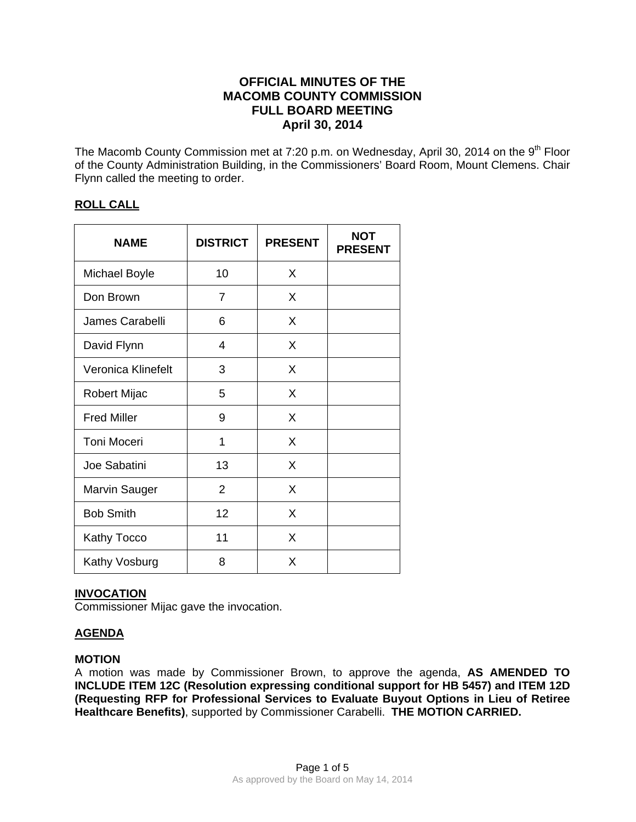# **OFFICIAL MINUTES OF THE MACOMB COUNTY COMMISSION FULL BOARD MEETING April 30, 2014**

The Macomb County Commission met at 7:20 p.m. on Wednesday, April 30, 2014 on the 9<sup>th</sup> Floor of the County Administration Building, in the Commissioners' Board Room, Mount Clemens. Chair Flynn called the meeting to order.

# **ROLL CALL**

| <b>NAME</b>          | <b>DISTRICT</b> | <b>PRESENT</b> | <b>NOT</b><br><b>PRESENT</b> |
|----------------------|-----------------|----------------|------------------------------|
| <b>Michael Boyle</b> | 10              | X              |                              |
| Don Brown            | 7               | X              |                              |
| James Carabelli      | 6               | X              |                              |
| David Flynn          | 4               | X              |                              |
| Veronica Klinefelt   | 3               | X              |                              |
| Robert Mijac         | 5               | X              |                              |
| <b>Fred Miller</b>   | 9               | X              |                              |
| Toni Moceri          | 1               | X              |                              |
| Joe Sabatini         | 13              | X              |                              |
| <b>Marvin Sauger</b> | $\overline{2}$  | X              |                              |
| <b>Bob Smith</b>     | 12              | X              |                              |
| Kathy Tocco          | 11              | X              |                              |
| Kathy Vosburg        | 8               | X              |                              |

### **INVOCATION**

Commissioner Mijac gave the invocation.

# **AGENDA**

### **MOTION**

A motion was made by Commissioner Brown, to approve the agenda, **AS AMENDED TO INCLUDE ITEM 12C (Resolution expressing conditional support for HB 5457) and ITEM 12D (Requesting RFP for Professional Services to Evaluate Buyout Options in Lieu of Retiree Healthcare Benefits)**, supported by Commissioner Carabelli. **THE MOTION CARRIED.**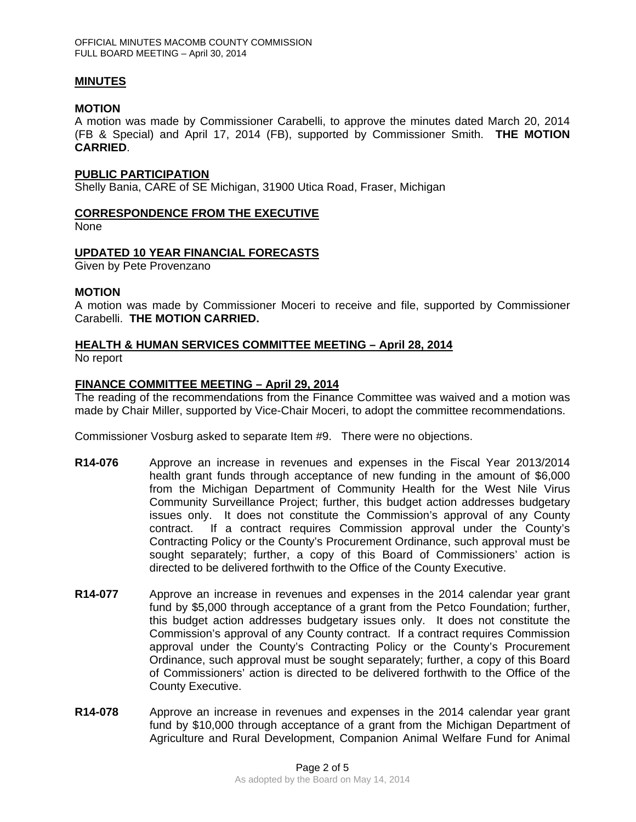### **MINUTES**

### **MOTION**

A motion was made by Commissioner Carabelli, to approve the minutes dated March 20, 2014 (FB & Special) and April 17, 2014 (FB), supported by Commissioner Smith. **THE MOTION CARRIED**.

### **PUBLIC PARTICIPATION**

Shelly Bania, CARE of SE Michigan, 31900 Utica Road, Fraser, Michigan

### **CORRESPONDENCE FROM THE EXECUTIVE**

None

### **UPDATED 10 YEAR FINANCIAL FORECASTS**

Given by Pete Provenzano

### **MOTION**

A motion was made by Commissioner Moceri to receive and file, supported by Commissioner Carabelli. **THE MOTION CARRIED.** 

### **HEALTH & HUMAN SERVICES COMMITTEE MEETING – April 28, 2014**

No report

### **FINANCE COMMITTEE MEETING – April 29, 2014**

The reading of the recommendations from the Finance Committee was waived and a motion was made by Chair Miller, supported by Vice-Chair Moceri, to adopt the committee recommendations.

Commissioner Vosburg asked to separate Item #9. There were no objections.

- **R14-076** Approve an increase in revenues and expenses in the Fiscal Year 2013/2014 health grant funds through acceptance of new funding in the amount of \$6,000 from the Michigan Department of Community Health for the West Nile Virus Community Surveillance Project; further, this budget action addresses budgetary issues only. It does not constitute the Commission's approval of any County contract. If a contract requires Commission approval under the County's Contracting Policy or the County's Procurement Ordinance, such approval must be sought separately; further, a copy of this Board of Commissioners' action is directed to be delivered forthwith to the Office of the County Executive.
- **R14-077** Approve an increase in revenues and expenses in the 2014 calendar year grant fund by \$5,000 through acceptance of a grant from the Petco Foundation; further, this budget action addresses budgetary issues only. It does not constitute the Commission's approval of any County contract. If a contract requires Commission approval under the County's Contracting Policy or the County's Procurement Ordinance, such approval must be sought separately; further, a copy of this Board of Commissioners' action is directed to be delivered forthwith to the Office of the County Executive.
- **R14-078** Approve an increase in revenues and expenses in the 2014 calendar year grant fund by \$10,000 through acceptance of a grant from the Michigan Department of Agriculture and Rural Development, Companion Animal Welfare Fund for Animal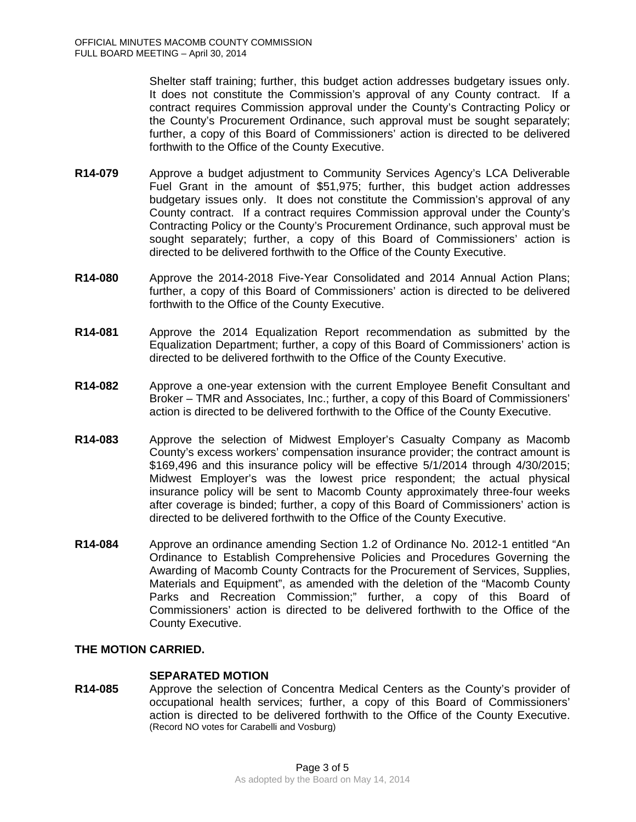Shelter staff training; further, this budget action addresses budgetary issues only. It does not constitute the Commission's approval of any County contract. If a contract requires Commission approval under the County's Contracting Policy or the County's Procurement Ordinance, such approval must be sought separately; further, a copy of this Board of Commissioners' action is directed to be delivered forthwith to the Office of the County Executive.

- **R14-079** Approve a budget adjustment to Community Services Agency's LCA Deliverable Fuel Grant in the amount of \$51,975; further, this budget action addresses budgetary issues only. It does not constitute the Commission's approval of any County contract. If a contract requires Commission approval under the County's Contracting Policy or the County's Procurement Ordinance, such approval must be sought separately; further, a copy of this Board of Commissioners' action is directed to be delivered forthwith to the Office of the County Executive.
- **R14-080** Approve the 2014-2018 Five-Year Consolidated and 2014 Annual Action Plans; further, a copy of this Board of Commissioners' action is directed to be delivered forthwith to the Office of the County Executive.
- **R14-081** Approve the 2014 Equalization Report recommendation as submitted by the Equalization Department; further, a copy of this Board of Commissioners' action is directed to be delivered forthwith to the Office of the County Executive.
- **R14-082** Approve a one-year extension with the current Employee Benefit Consultant and Broker – TMR and Associates, Inc.; further, a copy of this Board of Commissioners' action is directed to be delivered forthwith to the Office of the County Executive.
- **R14-083** Approve the selection of Midwest Employer's Casualty Company as Macomb County's excess workers' compensation insurance provider; the contract amount is \$169,496 and this insurance policy will be effective 5/1/2014 through 4/30/2015; Midwest Employer's was the lowest price respondent; the actual physical insurance policy will be sent to Macomb County approximately three-four weeks after coverage is binded; further, a copy of this Board of Commissioners' action is directed to be delivered forthwith to the Office of the County Executive.
- **R14-084** Approve an ordinance amending Section 1.2 of Ordinance No. 2012-1 entitled "An Ordinance to Establish Comprehensive Policies and Procedures Governing the Awarding of Macomb County Contracts for the Procurement of Services, Supplies, Materials and Equipment", as amended with the deletion of the "Macomb County Parks and Recreation Commission;" further, a copy of this Board of Commissioners' action is directed to be delivered forthwith to the Office of the County Executive.

### **THE MOTION CARRIED.**

### **SEPARATED MOTION**

**R14-085** Approve the selection of Concentra Medical Centers as the County's provider of occupational health services; further, a copy of this Board of Commissioners' action is directed to be delivered forthwith to the Office of the County Executive. (Record NO votes for Carabelli and Vosburg)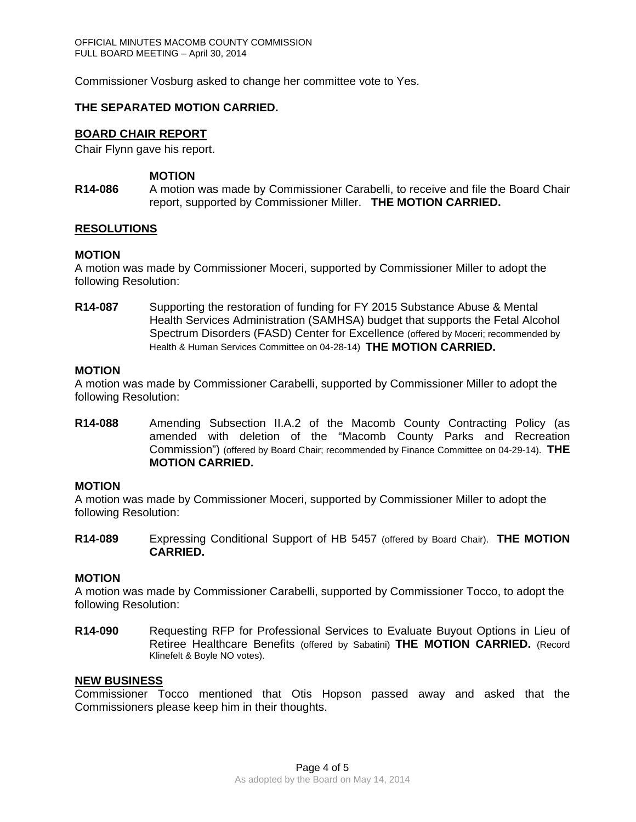Commissioner Vosburg asked to change her committee vote to Yes.

### **THE SEPARATED MOTION CARRIED.**

### **BOARD CHAIR REPORT**

Chair Flynn gave his report.

### **MOTION**

**R14-086** A motion was made by Commissioner Carabelli, to receive and file the Board Chair report, supported by Commissioner Miller. **THE MOTION CARRIED.**

### **RESOLUTIONS**

### **MOTION**

A motion was made by Commissioner Moceri, supported by Commissioner Miller to adopt the following Resolution:

**R14-087** Supporting the restoration of funding for FY 2015 Substance Abuse & Mental Health Services Administration (SAMHSA) budget that supports the Fetal Alcohol Spectrum Disorders (FASD) Center for Excellence (offered by Moceri; recommended by Health & Human Services Committee on 04-28-14) **THE MOTION CARRIED.**

#### **MOTION**

A motion was made by Commissioner Carabelli, supported by Commissioner Miller to adopt the following Resolution:

**R14-088** Amending Subsection II.A.2 of the Macomb County Contracting Policy (as amended with deletion of the "Macomb County Parks and Recreation Commission") (offered by Board Chair; recommended by Finance Committee on 04-29-14). **THE MOTION CARRIED.** 

### **MOTION**

A motion was made by Commissioner Moceri, supported by Commissioner Miller to adopt the following Resolution:

**R14-089** Expressing Conditional Support of HB 5457 (offered by Board Chair). **THE MOTION CARRIED.** 

### **MOTION**

A motion was made by Commissioner Carabelli, supported by Commissioner Tocco, to adopt the following Resolution:

**R14-090** Requesting RFP for Professional Services to Evaluate Buyout Options in Lieu of Retiree Healthcare Benefits (offered by Sabatini) **THE MOTION CARRIED.** (Record Klinefelt & Boyle NO votes).

### **NEW BUSINESS**

Commissioner Tocco mentioned that Otis Hopson passed away and asked that the Commissioners please keep him in their thoughts.